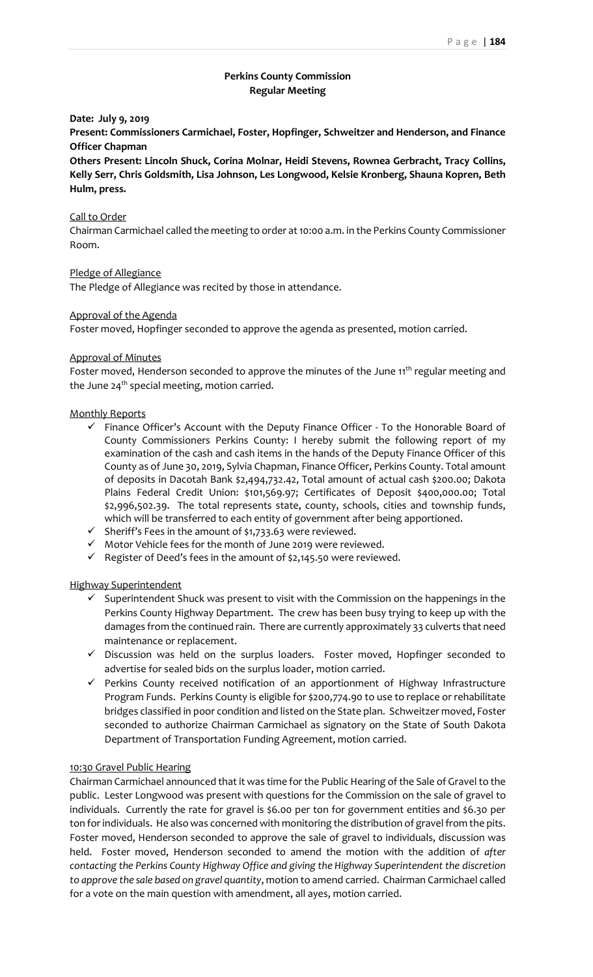# **Perkins County Commission Regular Meeting**

# **Date: July 9, 2019**

**Present: Commissioners Carmichael, Foster, Hopfinger, Schweitzer and Henderson, and Finance Officer Chapman**

**Others Present: Lincoln Shuck, Corina Molnar, Heidi Stevens, Rownea Gerbracht, Tracy Collins, Kelly Serr, Chris Goldsmith, Lisa Johnson, Les Longwood, Kelsie Kronberg, Shauna Kopren, Beth Hulm, press.**

#### Call to Order

Chairman Carmichael called the meeting to order at 10:00 a.m. in the Perkins County Commissioner Room.

## Pledge of Allegiance

The Pledge of Allegiance was recited by those in attendance.

### Approval of the Agenda

Foster moved, Hopfinger seconded to approve the agenda as presented, motion carried.

#### Approval of Minutes

Foster moved, Henderson seconded to approve the minutes of the June 11<sup>th</sup> regular meeting and the June  $24<sup>th</sup>$  special meeting, motion carried.

### Monthly Reports

- ✓ Finance Officer's Account with the Deputy Finance Officer To the Honorable Board of County Commissioners Perkins County: I hereby submit the following report of my examination of the cash and cash items in the hands of the Deputy Finance Officer of this County as of June 30, 2019, Sylvia Chapman, Finance Officer, Perkins County. Total amount of deposits in Dacotah Bank \$2,494,732.42, Total amount of actual cash \$200.00; Dakota Plains Federal Credit Union: \$101,569.97; Certificates of Deposit \$400,000.00; Total \$2,996,502.39. The total represents state, county, schools, cities and township funds, which will be transferred to each entity of government after being apportioned.
- ✓ Sheriff's Fees in the amount of \$1,733.63 were reviewed.
- ✓ Motor Vehicle fees for the month of June 2019 were reviewed.
- ✓ Register of Deed's fees in the amount of \$2,145.50 were reviewed.

### Highway Superintendent

- $\checkmark$  Superintendent Shuck was present to visit with the Commission on the happenings in the Perkins County Highway Department. The crew has been busy trying to keep up with the damages from the continued rain. There are currently approximately 33 culverts that need maintenance or replacement.
- ✓ Discussion was held on the surplus loaders. Foster moved, Hopfinger seconded to advertise for sealed bids on the surplus loader, motion carried.
- ✓ Perkins County received notification of an apportionment of Highway Infrastructure Program Funds. Perkins County is eligible for \$200,774.90 to use to replace or rehabilitate bridges classified in poor condition and listed on the State plan. Schweitzer moved, Foster seconded to authorize Chairman Carmichael as signatory on the State of South Dakota Department of Transportation Funding Agreement, motion carried.

## 10:30 Gravel Public Hearing

Chairman Carmichael announced that it was time for the Public Hearing of the Sale of Gravel to the public. Lester Longwood was present with questions for the Commission on the sale of gravel to individuals. Currently the rate for gravel is \$6.00 per ton for government entities and \$6.30 per ton for individuals. He also was concerned with monitoring the distribution of gravel from the pits. Foster moved, Henderson seconded to approve the sale of gravel to individuals, discussion was held. Foster moved, Henderson seconded to amend the motion with the addition of *after contacting the Perkins County Highway Office and giving the Highway Superintendent the discretion to approve the sale based on gravel quantity*, motion to amend carried.Chairman Carmichael called for a vote on the main question with amendment, all ayes, motion carried.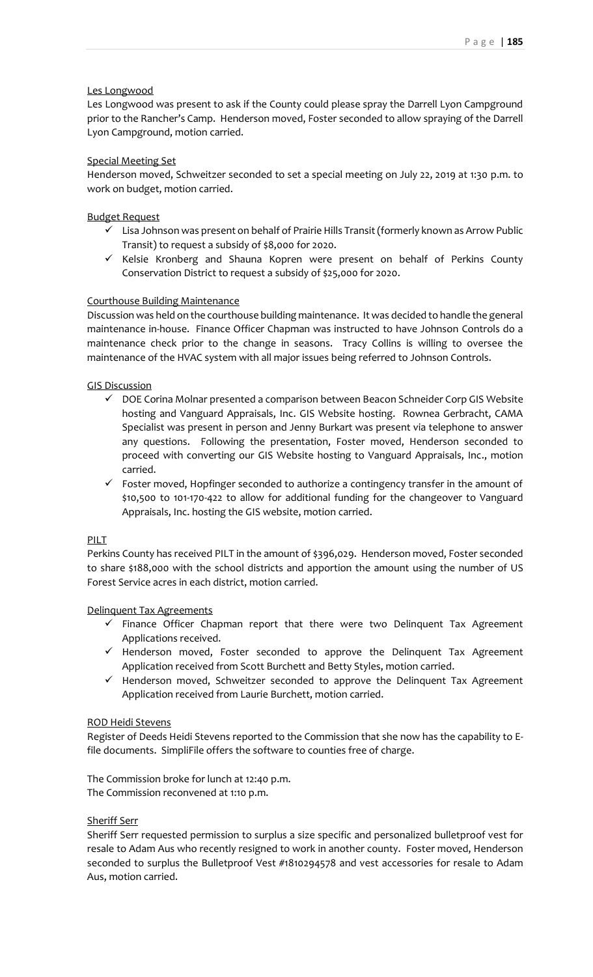# Les Longwood

Les Longwood was present to ask if the County could please spray the Darrell Lyon Campground prior to the Rancher's Camp. Henderson moved, Foster seconded to allow spraying of the Darrell Lyon Campground, motion carried.

## Special Meeting Set

Henderson moved, Schweitzer seconded to set a special meeting on July 22, 2019 at 1:30 p.m. to work on budget, motion carried.

# Budget Request

- $\checkmark$  Lisa Johnson was present on behalf of Prairie Hills Transit (formerly known as Arrow Public Transit) to request a subsidy of \$8,000 for 2020.
- ✓ Kelsie Kronberg and Shauna Kopren were present on behalf of Perkins County Conservation District to request a subsidy of \$25,000 for 2020.

# Courthouse Building Maintenance

Discussion was held on the courthouse building maintenance. It was decided to handle the general maintenance in-house. Finance Officer Chapman was instructed to have Johnson Controls do a maintenance check prior to the change in seasons. Tracy Collins is willing to oversee the maintenance of the HVAC system with all major issues being referred to Johnson Controls.

# GIS Discussion

- ✓ DOE Corina Molnar presented a comparison between Beacon Schneider Corp GIS Website hosting and Vanguard Appraisals, Inc. GIS Website hosting. Rownea Gerbracht, CAMA Specialist was present in person and Jenny Burkart was present via telephone to answer any questions. Following the presentation, Foster moved, Henderson seconded to proceed with converting our GIS Website hosting to Vanguard Appraisals, Inc., motion carried.
- $\checkmark$  Foster moved, Hopfinger seconded to authorize a contingency transfer in the amount of \$10,500 to 101-170-422 to allow for additional funding for the changeover to Vanguard Appraisals, Inc. hosting the GIS website, motion carried.

## PILT

Perkins County has received PILT in the amount of \$396,029. Henderson moved, Foster seconded to share \$188,000 with the school districts and apportion the amount using the number of US Forest Service acres in each district, motion carried.

## Delinquent Tax Agreements

- $\checkmark$  Finance Officer Chapman report that there were two Delinquent Tax Agreement Applications received.
- ✓ Henderson moved, Foster seconded to approve the Delinquent Tax Agreement Application received from Scott Burchett and Betty Styles, motion carried.
- ✓ Henderson moved, Schweitzer seconded to approve the Delinquent Tax Agreement Application received from Laurie Burchett, motion carried.

## ROD Heidi Stevens

Register of Deeds Heidi Stevens reported to the Commission that she now has the capability to Efile documents. SimpliFile offers the software to counties free of charge.

The Commission broke for lunch at 12:40 p.m. The Commission reconvened at 1:10 p.m.

## Sheriff Serr

Sheriff Serr requested permission to surplus a size specific and personalized bulletproof vest for resale to Adam Aus who recently resigned to work in another county. Foster moved, Henderson seconded to surplus the Bulletproof Vest #1810294578 and vest accessories for resale to Adam Aus, motion carried.